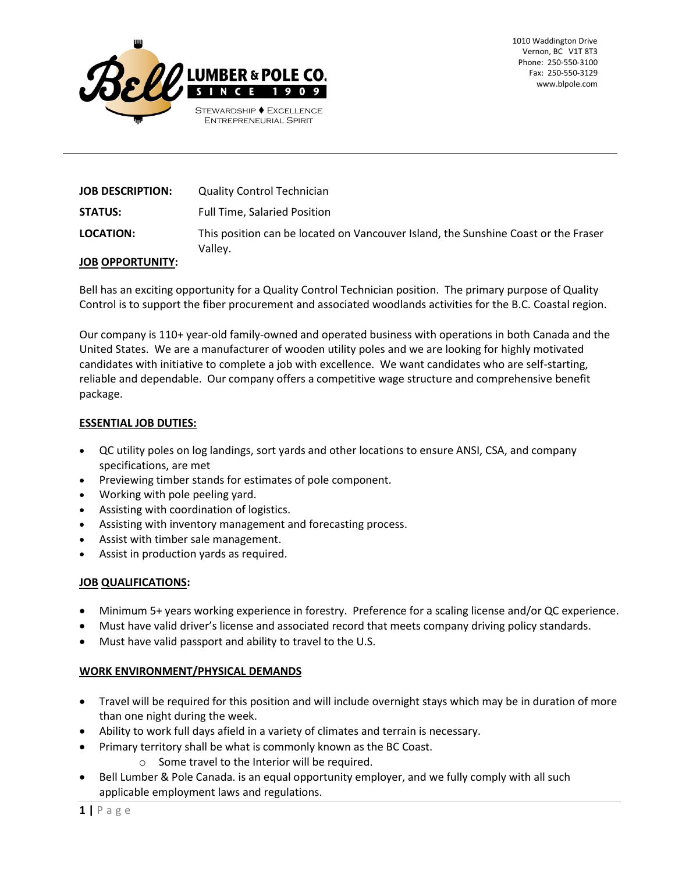

| <b>JOB DESCRIPTION:</b>  | <b>Quality Control Technician</b>                                                             |
|--------------------------|-----------------------------------------------------------------------------------------------|
| <b>STATUS:</b>           | <b>Full Time, Salaried Position</b>                                                           |
| <b>LOCATION:</b>         | This position can be located on Vancouver Island, the Sunshine Coast or the Fraser<br>Vallev. |
| <b>IOD ODDODTLINITY.</b> |                                                                                               |

# **JOB OPPORTUNITY:**

Bell has an exciting opportunity for a Quality Control Technician position. The primary purpose of Quality Control is to support the fiber procurement and associated woodlands activities for the B.C. Coastal region.

Our company is 110+ year-old family-owned and operated business with operations in both Canada and the United States. We are a manufacturer of wooden utility poles and we are looking for highly motivated candidates with initiative to complete a job with excellence. We want candidates who are self-starting, reliable and dependable. Our company offers a competitive wage structure and comprehensive benefit package.

# **ESSENTIAL JOB DUTIES:**

- QC utility poles on log landings, sort yards and other locations to ensure ANSI, CSA, and company specifications, are met
- Previewing timber stands for estimates of pole component.
- Working with pole peeling yard.
- Assisting with coordination of logistics.
- Assisting with inventory management and forecasting process.
- Assist with timber sale management.
- Assist in production yards as required.

### **JOB QUALIFICATIONS:**

- Minimum 5+ years working experience in forestry. Preference for a scaling license and/or QC experience.
- Must have valid driver's license and associated record that meets company driving policy standards.
- Must have valid passport and ability to travel to the U.S.

### **WORK ENVIRONMENT/PHYSICAL DEMANDS**

- Travel will be required for this position and will include overnight stays which may be in duration of more than one night during the week.
- Ability to work full days afield in a variety of climates and terrain is necessary.
- Primary territory shall be what is commonly known as the BC Coast.
	- o Some travel to the Interior will be required.
- Bell Lumber & Pole Canada. is an equal opportunity employer, and we fully comply with all such applicable employment laws and regulations.